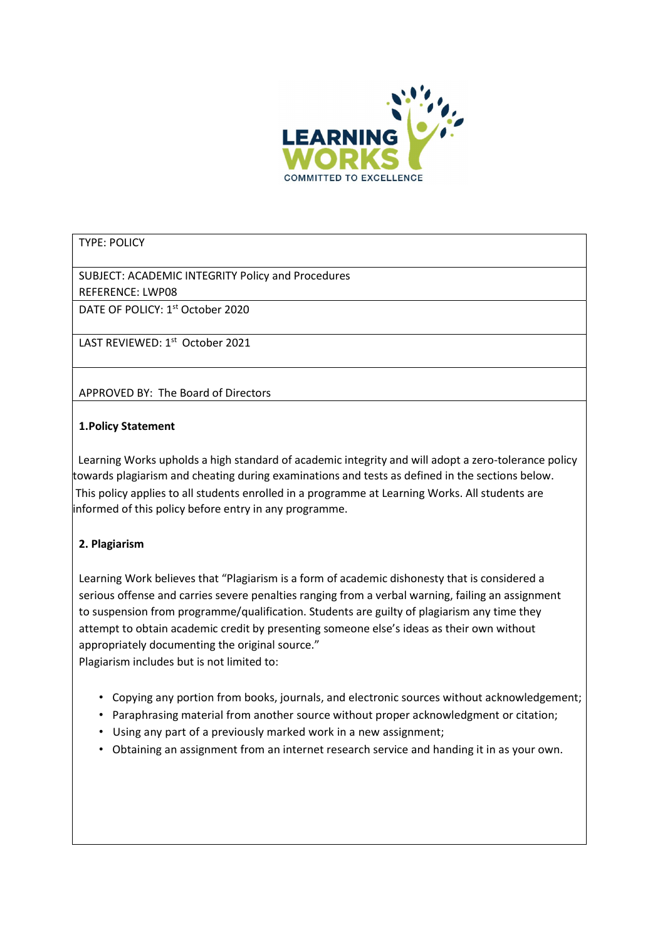

## TYPE: POLICY

SUBJECT: ACADEMIC INTEGRITY Policy and Procedures REFERENCE: LWP08

DATE OF POLICY: 1<sup>st</sup> October 2020

LAST REVIEWED: 1st October 2021

APPROVED BY: The Board of Directors

### 1.Policy Statement

 Learning Works upholds a high standard of academic integrity and will adopt a zero-tolerance policy towards plagiarism and cheating during examinations and tests as defined in the sections below. This policy applies to all students enrolled in a programme at Learning Works. All students are informed of this policy before entry in any programme.

# 2. Plagiarism

Learning Work believes that "Plagiarism is a form of academic dishonesty that is considered a serious offense and carries severe penalties ranging from a verbal warning, failing an assignment to suspension from programme/qualification. Students are guilty of plagiarism any time they attempt to obtain academic credit by presenting someone else's ideas as their own without appropriately documenting the original source."

Plagiarism includes but is not limited to:

- Copying any portion from books, journals, and electronic sources without acknowledgement;
- Paraphrasing material from another source without proper acknowledgment or citation;
- Using any part of a previously marked work in a new assignment;
- Obtaining an assignment from an internet research service and handing it in as your own.